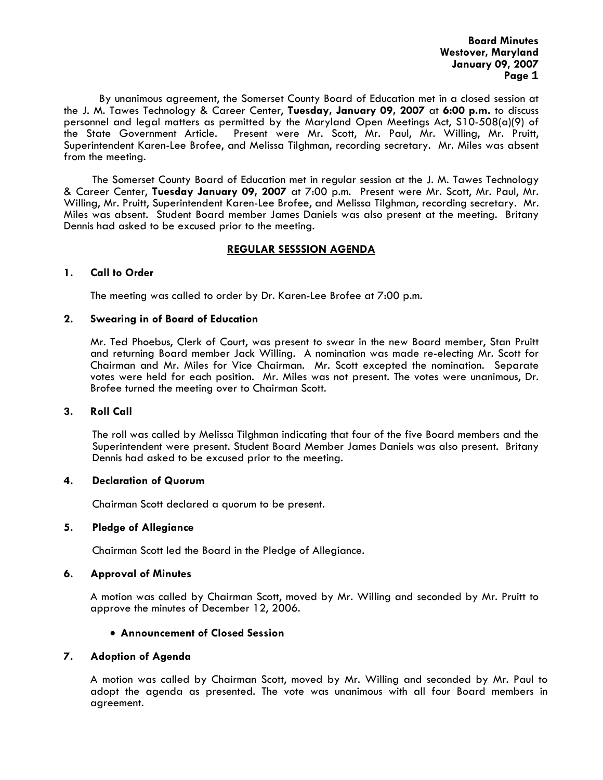**Board Minutes Westover, Maryland January 09, 2007 Page 1** 

 By unanimous agreement, the Somerset County Board of Education met in a closed session at the J. M. Tawes Technology & Career Center, **Tuesday, January 09, 2007** at **6:00 p.m.** to discuss personnel and legal matters as permitted by the Maryland Open Meetings Act, S10-508(a)(9) of the State Government Article. Present were Mr. Scott, Mr. Paul, Mr. Willing, Mr. Pruitt, Superintendent Karen-Lee Brofee, and Melissa Tilghman, recording secretary. Mr. Miles was absent from the meeting.

The Somerset County Board of Education met in regular session at the J. M. Tawes Technology & Career Center, **Tuesday January 09, 2007** at 7:00 p.m. Present were Mr. Scott, Mr. Paul, Mr. Willing, Mr. Pruitt, Superintendent Karen-Lee Brofee, and Melissa Tilghman, recording secretary. Mr. Miles was absent. Student Board member James Daniels was also present at the meeting. Britany Dennis had asked to be excused prior to the meeting.

# **REGULAR SESSSION AGENDA**

#### **1. Call to Order**

The meeting was called to order by Dr. Karen-Lee Brofee at 7:00 p.m.

#### **2. Swearing in of Board of Education**

Mr. Ted Phoebus, Clerk of Court, was present to swear in the new Board member, Stan Pruitt and returning Board member Jack Willing. A nomination was made re-electing Mr. Scott for Chairman and Mr. Miles for Vice Chairman. Mr. Scott excepted the nomination. Separate votes were held for each position. Mr. Miles was not present. The votes were unanimous, Dr. Brofee turned the meeting over to Chairman Scott.

#### **3. Roll Call**

The roll was called by Melissa Tilghman indicating that four of the five Board members and the Superintendent were present. Student Board Member James Daniels was also present. Britany Dennis had asked to be excused prior to the meeting.

#### **4. Declaration of Quorum**

Chairman Scott declared a quorum to be present.

#### **5. Pledge of Allegiance**

Chairman Scott led the Board in the Pledge of Allegiance.

#### **6. Approval of Minutes**

 A motion was called by Chairman Scott, moved by Mr. Willing and seconded by Mr. Pruitt to approve the minutes of December 12, 2006.

# • **Announcement of Closed Session**

#### **7. Adoption of Agenda**

 A motion was called by Chairman Scott, moved by Mr. Willing and seconded by Mr. Paul to adopt the agenda as presented. The vote was unanimous with all four Board members in agreement.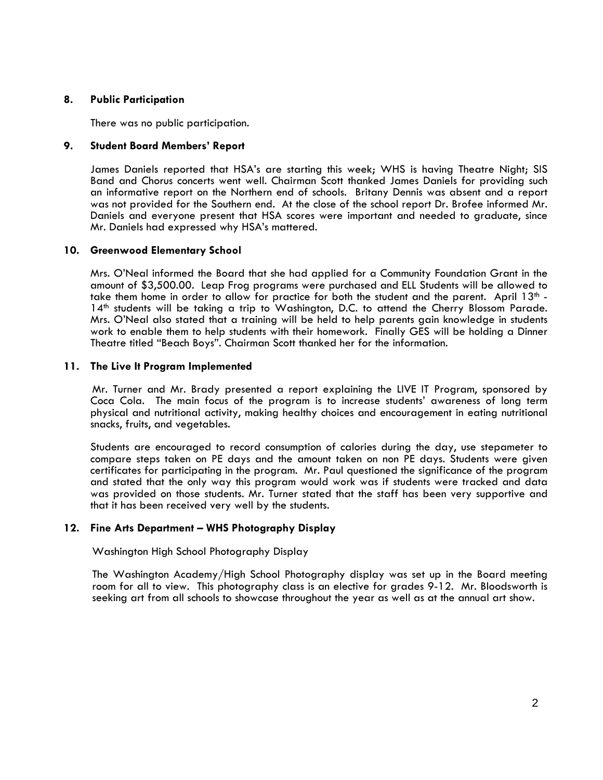#### **8. Public Participation**

There was no public participation.

#### **9. Student Board Members' Report**

James Daniels reported that HSA's are starting this week; WHS is having Theatre Night; SIS Band and Chorus concerts went well. Chairman Scott thanked James Daniels for providing such an informative report on the Northern end of schools. Britany Dennis was absent and a report was not provided for the Southern end. At the close of the school report Dr. Brofee informed Mr. Daniels and everyone present that HSA scores were important and needed to graduate, since Mr. Daniels had expressed why HSA's mattered.

#### **10. Greenwood Elementary School**

Mrs. O'Neal informed the Board that she had applied for a Community Foundation Grant in the amount of \$3,500.00. Leap Frog programs were purchased and ELL Students will be allowed to take them home in order to allow for practice for both the student and the parent. April  $13<sup>th</sup> - 14<sup>th</sup>$  students will be taking a trip to Washington, D.C. to attend the Cherry Blossom Parade. Mrs. O'Neal also stated that a training will be held to help parents gain knowledge in students work to enable them to help students with their homework. Finally GES will be holding a Dinner Theatre titled "Beach Boys". Chairman Scott thanked her for the information.

#### **11. The Live It Program Implemented**

Mr. Turner and Mr. Brady presented a report explaining the LIVE IT Program, sponsored by Coca Cola. The main focus of the program is to increase students' awareness of long term physical and nutritional activity, making healthy choices and encouragement in eating nutritional snacks, fruits, and vegetables.

Students are encouraged to record consumption of calories during the day, use stepameter to compare steps taken on PE days and the amount taken on non PE days. Students were given certificates for participating in the program. Mr. Paul questioned the significance of the program and stated that the only way this program would work was if students were tracked and data was provided on those students. Mr. Turner stated that the staff has been very supportive and that it has been received very well by the students.

# **12. Fine Arts Department – WHS Photography Display**

Washington High School Photography Display

The Washington Academy/High School Photography display was set up in the Board meeting room for all to view. This photography class is an elective for grades 9-12. Mr. Bloodsworth is seeking art from all schools to showcase throughout the year as well as at the annual art show.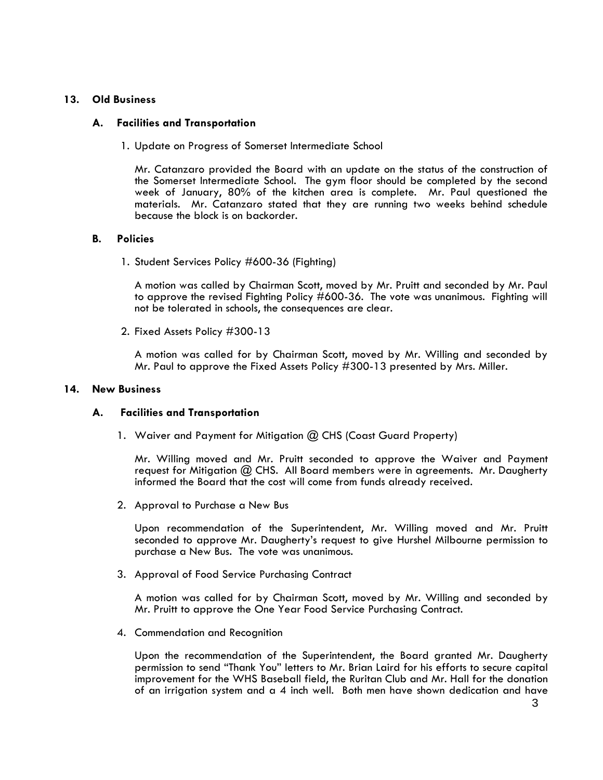# **13. Old Business**

# **A. Facilities and Transportation**

1. Update on Progress of Somerset Intermediate School

Mr. Catanzaro provided the Board with an update on the status of the construction of the Somerset Intermediate School. The gym floor should be completed by the second week of January, 80% of the kitchen area is complete. Mr. Paul questioned the materials. Mr. Catanzaro stated that they are running two weeks behind schedule because the block is on backorder.

# **B. Policies**

1. Student Services Policy #600-36 (Fighting)

A motion was called by Chairman Scott, moved by Mr. Pruitt and seconded by Mr. Paul to approve the revised Fighting Policy #600-36. The vote was unanimous. Fighting will not be tolerated in schools, the consequences are clear.

2. Fixed Assets Policy #300-13 A motion was called for by Chairman Scott, moved by Mr. Willing and seconded by Mr. Paul to approve the Fixed Assets Policy #300-13 presented by Mrs. Miller.

# **14. New Business**

# **A. Facilities and Transportation**

1. Waiver and Payment for Mitigation @ CHS (Coast Guard Property)

Mr. Willing moved and Mr. Pruitt seconded to approve the Waiver and Payment request for Mitigation @ CHS. All Board members were in agreements. Mr. Daugherty informed the Board that the cost will come from funds already received.

2. Approval to Purchase a New Bus

Upon recommendation of the Superintendent, Mr. Willing moved and Mr. Pruitt seconded to approve Mr. Daugherty's request to give Hurshel Milbourne permission to purchase a New Bus. The vote was unanimous.

3. Approval of Food Service Purchasing Contract

A motion was called for by Chairman Scott, moved by Mr. Willing and seconded by Mr. Pruitt to approve the One Year Food Service Purchasing Contract.

4. Commendation and Recognition

Upon the recommendation of the Superintendent, the Board granted Mr. Daugherty permission to send "Thank You" letters to Mr. Brian Laird for his efforts to secure capital improvement for the WHS Baseball field, the Ruritan Club and Mr. Hall for the donation of an irrigation system and a 4 inch well. Both men have shown dedication and have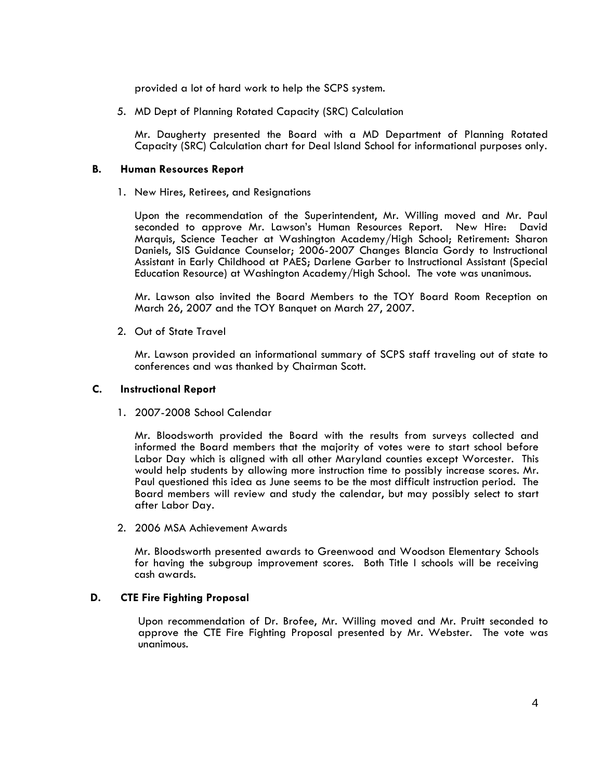provided a lot of hard work to help the SCPS system.

5. MD Dept of Planning Rotated Capacity (SRC) Calculation<br>Mr. Daugherty presented the Board with a MD Department of Planning Rotated Capacity (SRC) Calculation chart for Deal Island School for informational purposes only.

#### **B. Human Resources Report**

1. New Hires, Retirees, and Resignations

Upon the recommendation of the Superintendent, Mr. Willing moved and Mr. Paul seconded to approve Mr. Lawson's Human Resources Report. New Hire: David Marquis, Science Teacher at Washington Academy/High School; Retirement: Sharon Daniels, SIS Guidance Counselor; 2006-2007 Changes Blancia Gordy to Instructional Assistant in Early Childhood at PAES; Darlene Garber to Instructional Assistant (Special

Education Resource) at Washington Academy/High School. The vote was unanimous. Mr. Lawson also invited the Board Members to the TOY Board Room Reception on March 26, 2007 and the TOY Banquet on March 27, 2007.

2. Out of State Travel

Mr. Lawson provided an informational summary of SCPS staff traveling out of state to conferences and was thanked by Chairman Scott.

#### **C. Instructional Report**

1. 2007-2008 School Calendar

Mr. Bloodsworth provided the Board with the results from surveys collected and informed the Board members that the majority of votes were to start school before Labor Day which is aligned with all other Maryland counties except Worcester. This would help students by allowing more instruction time to possibly increase scores. Mr. Paul questioned this idea as June seems to be the most difficult instruction period. The Board members will review and study the calendar, but may possibly select to start after Labor Day.

2. 2006 MSA Achievement Awards

Mr. Bloodsworth presented awards to Greenwood and Woodson Elementary Schools for having the subgroup improvement scores. Both Title I schools will be receiving cash awards.

# **D. CTE Fire Fighting Proposal**

Upon recommendation of Dr. Brofee, Mr. Willing moved and Mr. Pruitt seconded to approve the CTE Fire Fighting Proposal presented by Mr. Webster. The vote was unanimous.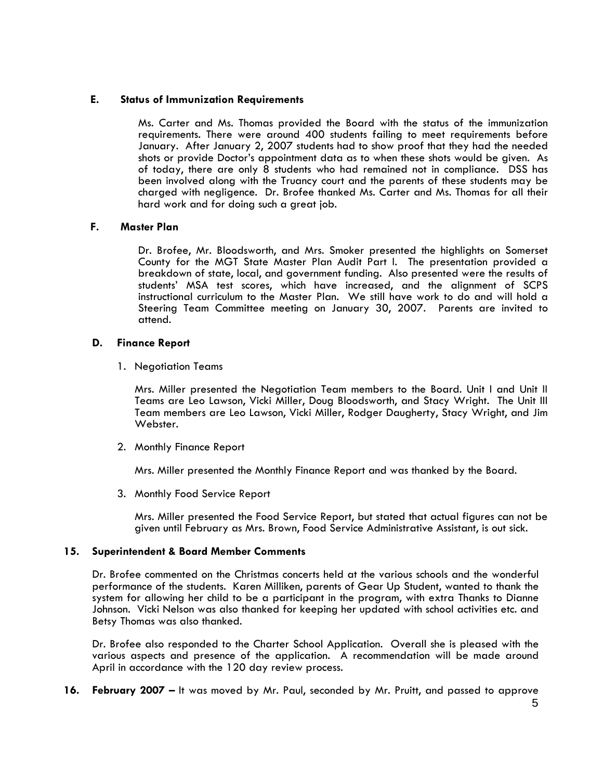# **E. Status of Immunization Requirements**

Ms. Carter and Ms. Thomas provided the Board with the status of the immunization requirements. There were around 400 students failing to meet requirements before January. After January 2, 2007 students had to show proof that they had the needed shots or provide Doctor's appointment data as to when these shots would be given. As of today, there are only 8 students who had remained not in compliance. DSS has been involved along with the Truancy court and the parents of these students may be charged with negligence. Dr. Brofee thanked Ms. Carter and Ms. Thomas for all their hard work and for doing such a great job.

# **F. Master Plan**

Dr. Brofee, Mr. Bloodsworth, and Mrs. Smoker presented the highlights on Somerset County for the MGT State Master Plan Audit Part I. The presentation provided a breakdown of state, local, and government funding. Also presented were the results of students' MSA test scores, which have increased, and the alignment of SCPS instructional curriculum to the Master Plan. We still have work to do and will hold a Steering Team Committee meeting on January 30, 2007. Parents are invited to attend.

# **D. Finance Report**

1. Negotiation Teams<br>Mrs. Miller presented the Negotiation Team members to the Board. Unit I and Unit II Teams are Leo Lawson, Vicki Miller, Doug Bloodsworth, and Stacy Wright. The Unit III Team members are Leo Lawson, Vicki Miller, Rodger Daugherty, Stacy Wright, and Jim Webster.

2. Monthly Finance Report

Mrs. Miller presented the Monthly Finance Report and was thanked by the Board.

3. Monthly Food Service Report<br>Mrs. Miller presented the Food Service Report, but stated that actual figures can not be given until February as Mrs. Brown, Food Service Administrative Assistant, is out sick.

# **15. Superintendent & Board Member Comments**

Dr. Brofee commented on the Christmas concerts held at the various schools and the wonderful performance of the students. Karen Milliken, parents of Gear Up Student, wanted to thank the system for allowing her child to be a participant in the program, with extra Thanks to Dianne Johnson. Vicki Nelson was also thanked for keeping her updated with school activities etc. and Betsy Thomas was also thanked.

Dr. Brofee also responded to the Charter School Application. Overall she is pleased with the various aspects and presence of the application. A recommendation will be made around April in accordance with the 120 day review process.

**16. February 2007 –** It was moved by Mr. Paul, seconded by Mr. Pruitt, and passed to approve